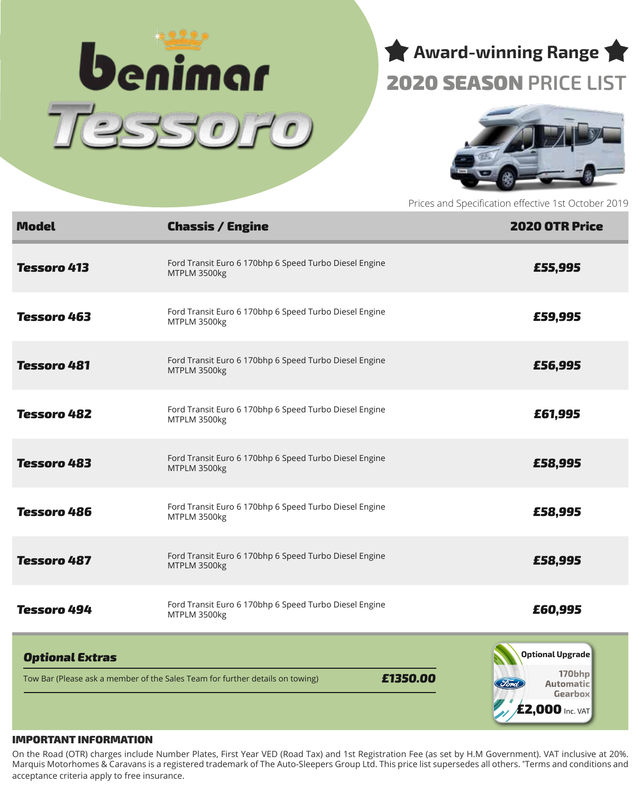

# **Award-winning Range** 2020 SEASON **PRICE LIST**



Prices and Specification effective 1st October 2019

| <b>Model</b>           | <b>Chassis / Engine</b>                                                                   | <b>2020 OTR Price</b>                                                                 |
|------------------------|-------------------------------------------------------------------------------------------|---------------------------------------------------------------------------------------|
| <b>Tessoro 413</b>     | Ford Transit Euro 6 170bhp 6 Speed Turbo Diesel Engine<br>MTPLM 3500kg                    | £55,995                                                                               |
| <b>Tessoro 463</b>     | Ford Transit Euro 6 170bhp 6 Speed Turbo Diesel Engine<br>MTPLM 3500kg                    | £59,995                                                                               |
| <b>Tessoro 481</b>     | Ford Transit Euro 6 170bhp 6 Speed Turbo Diesel Engine<br>MTPLM 3500kg                    | £56,995                                                                               |
| <b>Tessoro 482</b>     | Ford Transit Euro 6 170bhp 6 Speed Turbo Diesel Engine<br>MTPLM 3500kg                    | £61,995                                                                               |
| <b>Tessoro 483</b>     | Ford Transit Euro 6 170bhp 6 Speed Turbo Diesel Engine<br>MTPLM 3500kg                    | £58,995                                                                               |
| <b>Tessoro 486</b>     | Ford Transit Euro 6 170bhp 6 Speed Turbo Diesel Engine<br>MTPLM 3500kg                    | £58,995                                                                               |
| <b>Tessoro 487</b>     | Ford Transit Euro 6 170bhp 6 Speed Turbo Diesel Engine<br>MTPLM 3500kg                    | £58,995                                                                               |
| <b>Tessoro 494</b>     | Ford Transit Euro 6 170bhp 6 Speed Turbo Diesel Engine<br>MTPLM 3500kg                    | £60,995                                                                               |
| <b>Optional Extras</b> | £1350.00<br>Tow Bar (Please ask a member of the Sales Team for further details on towing) | Optional Upgrade<br>170bhp<br><b>Automatic</b><br>Gearbox<br>$\angle$ £2,000 Inc. VAT |

#### IMPORTANT INFORMATION

On the Road (OTR) charges include Number Plates, First Year VED (Road Tax) and 1st Registration Fee (as set by H.M Government). VAT inclusive at 20%. Marquis Motorhomes & Caravans is a registered trademark of The Auto-Sleepers Group Ltd. This price list supersedes all others. \* Terms and conditions and acceptance criteria apply to free insurance.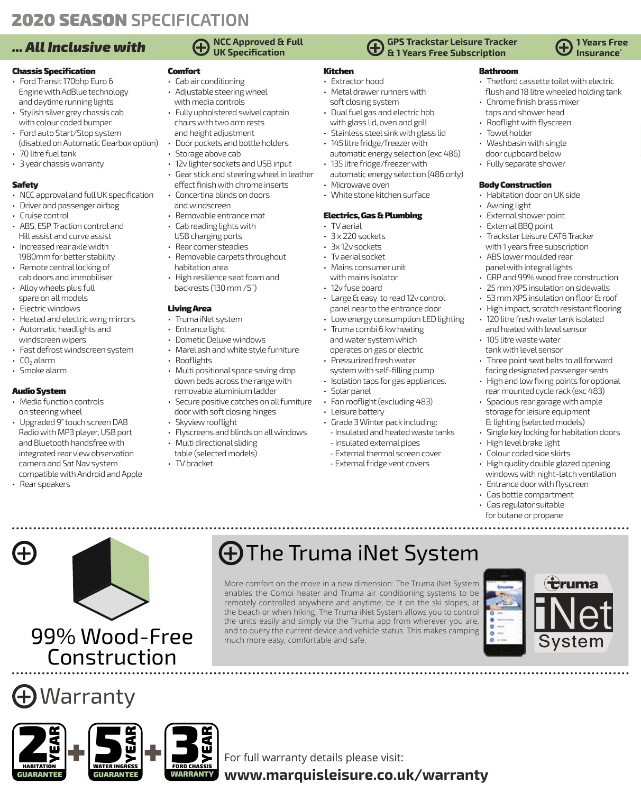### **2020 SEASON SPECIFICATION**

#### Chassis Specification

- Ford Transit 170bhp Euro 6 Engine with AdBlue technology and daytime running lights
- Stylish silver grey chassis cab with colour coded bumper
- Ford auto Start/Stop system (disabled on Automatic Gearbox option)
- 70 litre fuel tank
- 3 year chassis warranty

#### Safety

- NCC approval and full UK specification
- Driver and passenger airbag • Cruise control
- ABS, ESP, Traction control and
- Hill assist and curve assist • Increased rear axle width
- 1980mm for better stability • Remote central locking of
- cab doors and immobiliser
- Alloy wheels plus full spare on all models
- Electric windows
- Heated and electric wing mirrors
- Automatic headlights and
- windscreen wipers • Fast defrost windscreen system
- $\cdot$  CO<sub>2</sub> alarm
- Smoke alarm

#### Audio System

- Media function controls on steering wheel
- Upgraded 9" touch screen DAB Radio with MP3 player, USB port and Bluetooth handsfree with integrated rear view observation camera and Sat Nav system compatible with Android and Apple
- Rear speakers

## **NCC Approved & Full**

### Comfort

- Cab air conditioning • Adjustable steering wheel
- with media controls
- Fully upholstered swivel captain chairs with two arm rests and height adjustment
- Door pockets and bottle holders
- Storage above cab
- 12v lighter sockets and USB input
- Gear stick and steering wheel in leather effect finish with chrome inserts
- Concertina blinds on doors and windscreen
- Removable entrance mat
- Cab reading lights with USB charging ports
- Rear corner steadies
- Removable carpets throughout habitation area
- High resilience seat foam and backrests (130 mm /5")

#### Living Area

- Truma iNet system
- Entrance light
	- Dometic Deluxe windows
	- Marel ash and white style furniture
	- Multi positional space saving drop down beds across the range with
	- removable aluminium ladder
		- door with soft closing hinges
		-
		- Multi directional sliding
		- table (selected models) • TV bracket
		-

#### **GPS Trackstar Leisure Tracker & 1 Years Free Subscription URE SPECIFICATE A SPECIFICATE A SPECIFICATE A SPECIFICATE A SPECIFICATE A SPECIFICATE A SPECIFICATE A SPECIFICAT<br>
1 <b>All Inclusive with 4** We can be a specification **and the specification** *.... All Inclusive* **Continuu**

### **Insurance\***

#### Bathroom

- Thetford cassette toilet with electric flush and 18 litre wheeled holding tank
- Chrome finish brass mixer taps and shower head
- Rooflight with flyscreen
- Towel holder
- Washbasin with single
- door cupboard below
- Fully separate shower

#### Body Construction

- Habitation door on UK side
- Awning light
- External shower point
- External BBQ point • Trackstar Leisure CAT6 Tracker
- with 1 years free subscription • ABS lower moulded rear
- panel with integral lights • GRP and 99% wood free construction
- 25 mm XPS insulation on sidewalls
- 53 mm XPS insulation on floor & roof
- High impact, scratch resistant flooring
- 120 litre fresh water tank isolated
- and heated with level sensor
- 105 litre waste water
- tank with level sensor
- Three point seat belts to all forward facing designated passenger seats
- High and low fixing points for optional rear mounted cycle rack (exc 483)
- Spacious rear garage with ample storage for leisure equipment & lighting (selected models)
- Single key locking for habitation doors
- High level brake light
- Colour coded side skirts
- High quality double glazed opening windows with night-latch ventilation
- Entrance door with flyscreen
- Gas bottle compartment
- Gas regulator suitable
- for butane or propane

# More comfort on the move in a new dimension: The Truma iNet System The Truma iNet System

enables the Combi heater and Truma air conditioning systems to be remotely controlled anywhere and anytime; be it on the ski slopes, at the beach or when hiking. The Truma iNet System allows you to control the units easily and simply via the Truma app from wherever you are, and to query the current device and vehicle status. This makes camping much more easy, comfortable and safe.







99% Wood-Free

Construction

For full warranty details please visit:

**www.marquisleisure.co.uk/warranty**

• Solar panel

• Leisure battery

Kitchen • Extractor hood

• Metal drawer runners with soft closing system • Dual fuel gas and electric hob with glass lid, oven and grill • Stainless steel sink with glass lid • 145 litre fridge/freezer with

• 135 litre fridge/freezer with

Electrics, Gas & Plumbing

• Large & easy to read 12v control panel near to the entrance door • Low energy consumption LED lighting

• Truma combi 6 kw heating and water system which operates on gas or electric • Pressurized fresh water system with self-filling pump • Isolation taps for gas appliances.

• Fan rooflight (excluding 483)

• Grade 3 Winter pack including: - Insulated and heated waste tanks - Insulated external pipes - External thermal screen cover - External fridge vent covers

• Microwave oven • White stone kitchen surface

• TV aerial • 3 x 220 sockets • 3x 12v sockets • Tv aerial socket • Mains consumer unit with mains isolator • 12v fuse board

automatic energy selection (exc 486)

automatic energy selection (486 only)

- Rooflights
- Secure positive catches on all furniture
	- Skyview rooflight
	- Flyscreens and blinds on all windows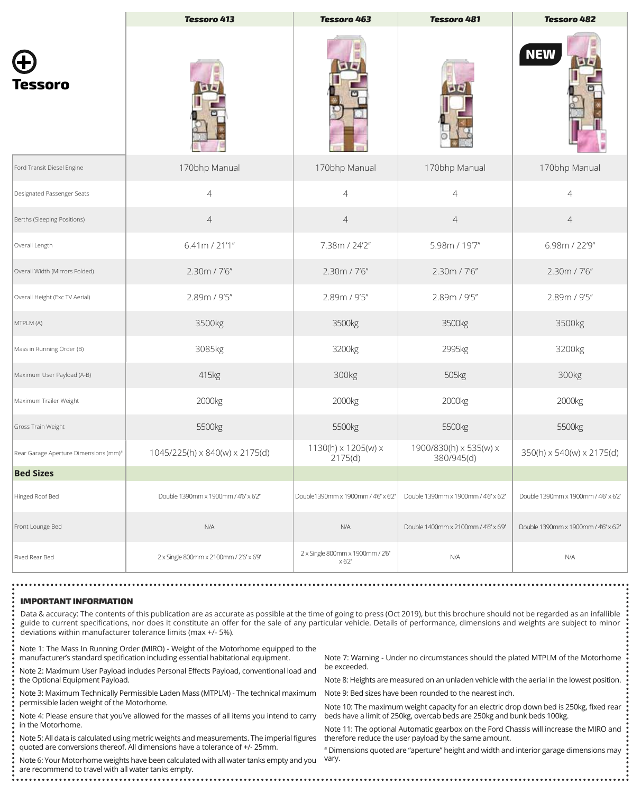|                                       | <b>Tessoro 413</b>                      | <b>Tessoro 463</b>                                | <b>Tessoro 481</b>                   | <b>Tessoro 482</b>                   |
|---------------------------------------|-----------------------------------------|---------------------------------------------------|--------------------------------------|--------------------------------------|
| Tessoro                               |                                         |                                                   |                                      | <b>NEW</b>                           |
| Ford Transit Diesel Engine            | 170bhp Manual                           | 170bhp Manual                                     | 170bhp Manual                        | 170bhp Manual                        |
| Designated Passenger Seats            | $\sqrt{4}$                              | $\overline{4}$                                    | $\overline{4}$                       | $\overline{4}$                       |
| Berths (Sleeping Positions)           | $\sqrt{4}$                              | $\overline{4}$                                    | $\overline{4}$                       | $\overline{4}$                       |
| Overall Length                        | 6.41m / 21'1"                           | 7.38m / 24'2"                                     | 5.98m / 19'7"                        | 6.98m / 22'9"                        |
| Overall Width (Mirrors Folded)        | 2.30m / 7'6"                            | 2.30m / 7'6"                                      | 2.30m / 7'6"                         | 2.30m / 7'6"                         |
| Overall Height (Exc TV Aerial)        | 2.89m / 9'5"                            | 2.89m / 9'5"                                      | 2.89m / 9'5"                         | 2.89m / 9'5"                         |
| MTPLM (A)                             | 3500kg                                  | 3500kg                                            | 3500kg                               | 3500kg                               |
| Mass in Running Order (B)             | 3085kg                                  | 3200kg                                            | 2995kg                               | 3200kg                               |
| Maximum User Payload (A-B)            | 415kg                                   | 300kg                                             | 505kg                                | 300kg                                |
| Maximum Trailer Weight                | 2000kg                                  | 2000kg                                            | 2000kg                               | 2000kg                               |
| Gross Train Weight                    | 5500kg                                  | 5500kg                                            | 5500kg                               | 5500kg                               |
| Rear Garage Aperture Dimensions (mm)# | 1045/225(h) x 840(w) x 2175(d)          | 1130(h) x 1205(w) x<br>2175(d)                    | 1900/830(h) x 535(w) x<br>380/945(d) | 350(h) x 540(w) x 2175(d)            |
| <b>Bed Sizes</b>                      |                                         |                                                   |                                      |                                      |
| Hinged Roof Bed                       | Double 1390mm x 1900mm / 4'6" x 6'2"    | Double1390mm x 1900mm / 4'6" x 6'2"               | Double 1390mm x 1900mm / 4'6" x 6'2" | Double 1390mm x 1900mm / 4'6" x 6'2' |
| Front Lounge Bed                      | N/A                                     | N/A                                               | Double 1400mm x 2100mm / 4'6" x 6'9" | Double 1390mm x 1900mm / 4'6" x 6'2" |
| Fixed Rear Bed                        | 2 x Single 800mm x 2100mm / 2'6" x 6'9" | 2 x Single 800mm x 1900mm / 2'6"<br>$\times 62''$ | N/A                                  | N/A                                  |

#### IMPORTANT INFORMATION

Data & accuracy: The contents of this publication are as accurate as possible at the time of going to press (Oct 2019), but this brochure should not be regarded as an infallible guide to current specifications, nor does it constitute an offer for the sale of any particular vehicle. Details of performance, dimensions and weights are subject to minor deviations within manufacturer tolerance limits (max +/- 5%).

Note 1: The Mass In Running Order (MIRO) - Weight of the Motorhome equipped to the manufacturer's standard specification including essential habitational equipment.

Note 2: Maximum User Payload includes Personal Effects Payload, conventional load and the Optional Equipment Payload.

Note 3: Maximum Technically Permissible Laden Mass (MTPLM) - The technical maximum permissible laden weight of the Motorhome.

Note 4: Please ensure that you've allowed for the masses of all items you intend to carry in the Motorhome.

Note 5: All data is calculated using metric weights and measurements. The imperial figures quoted are conversions thereof. All dimensions have a tolerance of +/- 25mm.

Note 6: Your Motorhome weights have been calculated with all water tanks empty and you are recommend to travel with all water tanks empty.

Note 7: Warning - Under no circumstances should the plated MTPLM of the Motorhome be exceeded.

Note 8: Heights are measured on an unladen vehicle with the aerial in the lowest position.

Note 9: Bed sizes have been rounded to the nearest inch.

Note 10: The maximum weight capacity for an electric drop down bed is 250kg, fixed rear beds have a limit of 250kg, overcab beds are 250kg and bunk beds 100kg.

Note 11: The optional Automatic gearbox on the Ford Chassis will increase the MIRO and therefore reduce the user payload by the same amount.

# Dimensions quoted are "aperture" height and width and interior garage dimensions may vary.